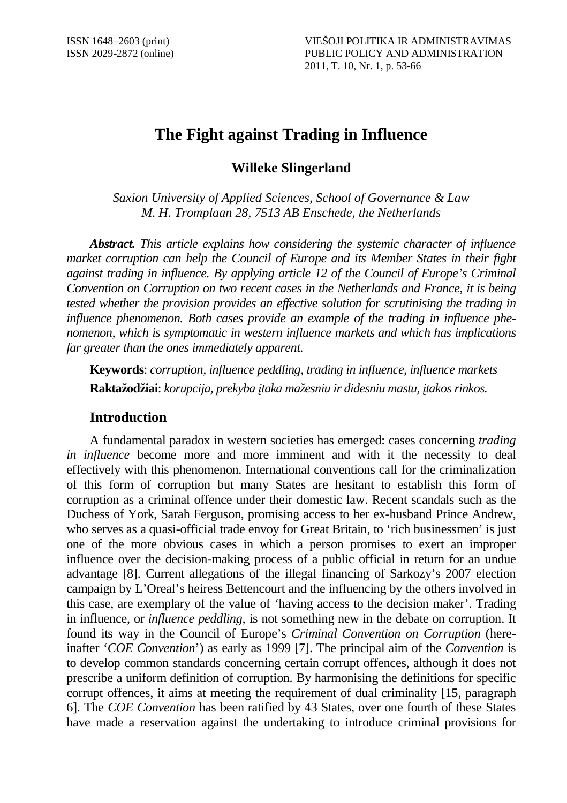# **The Fight against Trading in Influence**

**Willeke Slingerland** 

*Saxion University of Applied Sciences, School of Governance & Law M. H. Tromplaan 28, 7513 AB Enschede, the Netherlands* 

*Abstract. This article explains how considering the systemic character of influence market corruption can help the Council of Europe and its Member States in their fight against trading in influence. By applying article 12 of the Council of Europe's Criminal Convention on Corruption on two recent cases in the Netherlands and France, it is being tested whether the provision provides an effective solution for scrutinising the trading in influence phenomenon. Both cases provide an example of the trading in influence phenomenon, which is symptomatic in western influence markets and which has implications far greater than the ones immediately apparent.* 

**Keywords**: *corruption, influence peddling, trading in influence, influence markets*  **Raktažodžiai**: *korupcija, prekyba* į*taka mažesniu ir didesniu mastu,* į*takos rinkos.* 

# **Introduction**

A fundamental paradox in western societies has emerged: cases concerning *trading in influence* become more and more imminent and with it the necessity to deal effectively with this phenomenon. International conventions call for the criminalization of this form of corruption but many States are hesitant to establish this form of corruption as a criminal offence under their domestic law. Recent scandals such as the Duchess of York, Sarah Ferguson, promising access to her ex-husband Prince Andrew, who serves as a quasi-official trade envoy for Great Britain, to 'rich businessmen' is just one of the more obvious cases in which a person promises to exert an improper influence over the decision-making process of a public official in return for an undue advantage [8]. Current allegations of the illegal financing of Sarkozy's 2007 election campaign by L'Oreal's heiress Bettencourt and the influencing by the others involved in this case, are exemplary of the value of 'having access to the decision maker'. Trading in influence, or *influence peddling,* is not something new in the debate on corruption. It found its way in the Council of Europe's *Criminal Convention on Corruption* (hereinafter '*COE Convention*') as early as 1999 [7]. The principal aim of the *Convention* is to develop common standards concerning certain corrupt offences, although it does not prescribe a uniform definition of corruption. By harmonising the definitions for specific corrupt offences, it aims at meeting the requirement of dual criminality [15, paragraph 6]. The *COE Convention* has been ratified by 43 States, over one fourth of these States have made a reservation against the undertaking to introduce criminal provisions for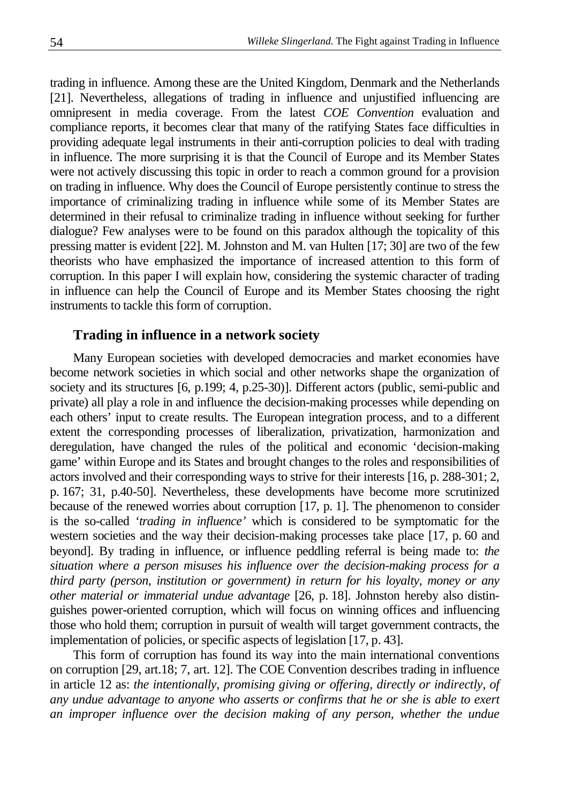trading in influence. Among these are the United Kingdom, Denmark and the Netherlands [21]. Nevertheless, allegations of trading in influence and unjustified influencing are omnipresent in media coverage. From the latest *COE Convention* evaluation and compliance reports, it becomes clear that many of the ratifying States face difficulties in providing adequate legal instruments in their anti-corruption policies to deal with trading in influence. The more surprising it is that the Council of Europe and its Member States were not actively discussing this topic in order to reach a common ground for a provision on trading in influence. Why does the Council of Europe persistently continue to stress the importance of criminalizing trading in influence while some of its Member States are determined in their refusal to criminalize trading in influence without seeking for further dialogue? Few analyses were to be found on this paradox although the topicality of this pressing matter is evident [22]. M. Johnston and M. van Hulten [17; 30] are two of the few theorists who have emphasized the importance of increased attention to this form of corruption. In this paper I will explain how, considering the systemic character of trading in influence can help the Council of Europe and its Member States choosing the right instruments to tackle this form of corruption.

# **Trading in influence in a network society**

Many European societies with developed democracies and market economies have become network societies in which social and other networks shape the organization of society and its structures [6, p.199; 4, p.25-30]. Different actors (public, semi-public and private) all play a role in and influence the decision-making processes while depending on each others' input to create results. The European integration process, and to a different extent the corresponding processes of liberalization, privatization, harmonization and deregulation, have changed the rules of the political and economic 'decision-making game' within Europe and its States and brought changes to the roles and responsibilities of actors involved and their corresponding ways to strive for their interests [16, p. 288-301; 2, p. 167; 31, p.40-50]. Nevertheless, these developments have become more scrutinized because of the renewed worries about corruption [17, p. 1]. The phenomenon to consider is the so-called *'trading in influence'* which is considered to be symptomatic for the western societies and the way their decision-making processes take place [17, p. 60 and beyond]. By trading in influence, or influence peddling referral is being made to: *the situation where a person misuses his influence over the decision-making process for a third party (person, institution or government) in return for his loyalty, money or any other material or immaterial undue advantage* [26, p. 18]. Johnston hereby also distinguishes power-oriented corruption, which will focus on winning offices and influencing those who hold them; corruption in pursuit of wealth will target government contracts, the implementation of policies, or specific aspects of legislation [17, p. 43].

This form of corruption has found its way into the main international conventions on corruption [29, art.18; 7, art. 12]. The COE Convention describes trading in influence in article 12 as: *the intentionally, promising giving or offering, directly or indirectly, of any undue advantage to anyone who asserts or confirms that he or she is able to exert an improper influence over the decision making of any person, whether the undue*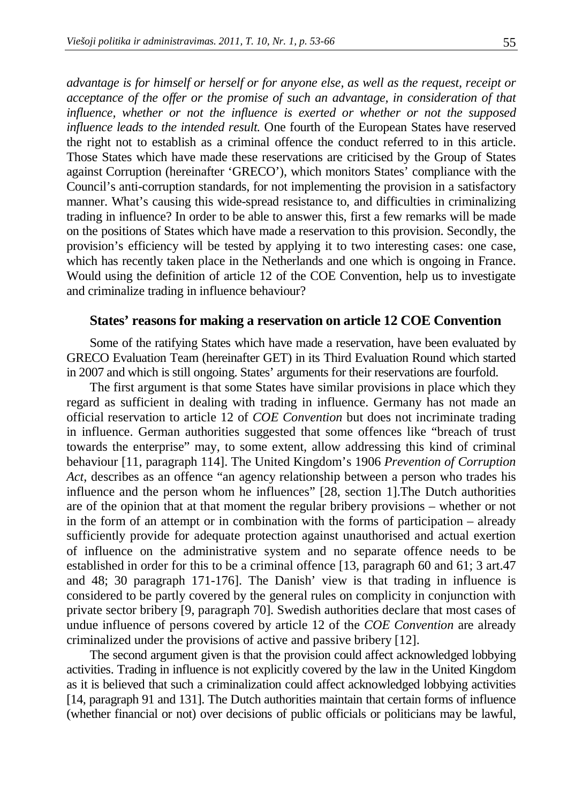*advantage is for himself or herself or for anyone else, as well as the request, receipt or acceptance of the offer or the promise of such an advantage, in consideration of that influence, whether or not the influence is exerted or whether or not the supposed influence leads to the intended result.* One fourth of the European States have reserved the right not to establish as a criminal offence the conduct referred to in this article. Those States which have made these reservations are criticised by the Group of States against Corruption (hereinafter 'GRECO'), which monitors States' compliance with the Council's anti-corruption standards, for not implementing the provision in a satisfactory manner. What's causing this wide-spread resistance to, and difficulties in criminalizing trading in influence? In order to be able to answer this, first a few remarks will be made on the positions of States which have made a reservation to this provision. Secondly, the provision's efficiency will be tested by applying it to two interesting cases: one case, which has recently taken place in the Netherlands and one which is ongoing in France. Would using the definition of article 12 of the COE Convention, help us to investigate and criminalize trading in influence behaviour?

#### **States' reasons for making a reservation on article 12 COE Convention**

Some of the ratifying States which have made a reservation, have been evaluated by GRECO Evaluation Team (hereinafter GET) in its Third Evaluation Round which started in 2007 and which is still ongoing. States' arguments for their reservations are fourfold.

The first argument is that some States have similar provisions in place which they regard as sufficient in dealing with trading in influence. Germany has not made an official reservation to article 12 of *COE Convention* but does not incriminate trading in influence. German authorities suggested that some offences like "breach of trust towards the enterprise" may, to some extent, allow addressing this kind of criminal behaviour [11, paragraph 114]. The United Kingdom's 1906 *Prevention of Corruption Act*, describes as an offence "an agency relationship between a person who trades his influence and the person whom he influences" [28, section 1].The Dutch authorities are of the opinion that at that moment the regular bribery provisions – whether or not in the form of an attempt or in combination with the forms of participation – already sufficiently provide for adequate protection against unauthorised and actual exertion of influence on the administrative system and no separate offence needs to be established in order for this to be a criminal offence [13, paragraph 60 and 61; 3 art.47 and 48; 30 paragraph 171-176]. The Danish' view is that trading in influence is considered to be partly covered by the general rules on complicity in conjunction with private sector bribery [9, paragraph 70]. Swedish authorities declare that most cases of undue influence of persons covered by article 12 of the *COE Convention* are already criminalized under the provisions of active and passive bribery [12].

The second argument given is that the provision could affect acknowledged lobbying activities. Trading in influence is not explicitly covered by the law in the United Kingdom as it is believed that such a criminalization could affect acknowledged lobbying activities [14, paragraph 91 and 131]. The Dutch authorities maintain that certain forms of influence (whether financial or not) over decisions of public officials or politicians may be lawful,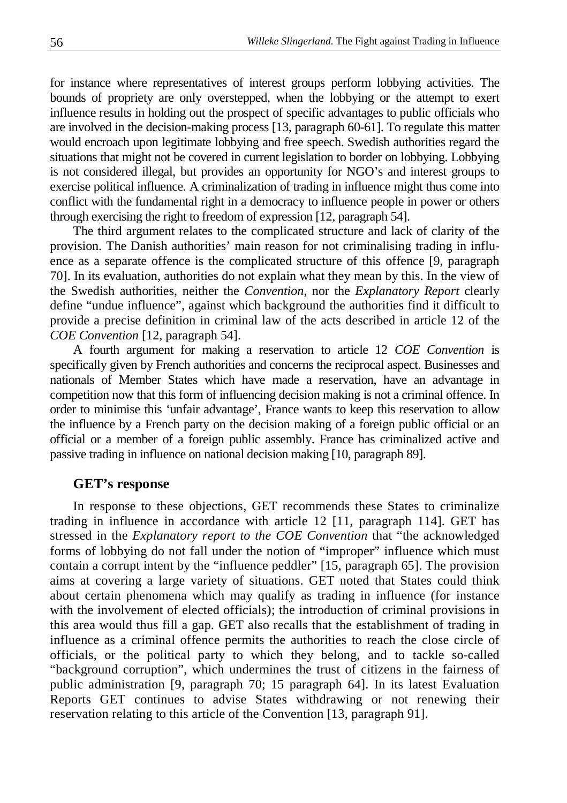for instance where representatives of interest groups perform lobbying activities. The bounds of propriety are only overstepped, when the lobbying or the attempt to exert influence results in holding out the prospect of specific advantages to public officials who are involved in the decision-making process [13, paragraph 60-61]. To regulate this matter would encroach upon legitimate lobbying and free speech. Swedish authorities regard the situations that might not be covered in current legislation to border on lobbying. Lobbying is not considered illegal, but provides an opportunity for NGO's and interest groups to exercise political influence. A criminalization of trading in influence might thus come into conflict with the fundamental right in a democracy to influence people in power or others through exercising the right to freedom of expression [12, paragraph 54].

The third argument relates to the complicated structure and lack of clarity of the provision. The Danish authorities' main reason for not criminalising trading in influence as a separate offence is the complicated structure of this offence [9, paragraph 70]. In its evaluation, authorities do not explain what they mean by this. In the view of the Swedish authorities, neither the *Convention*, nor the *Explanatory Report* clearly define "undue influence", against which background the authorities find it difficult to provide a precise definition in criminal law of the acts described in article 12 of the *COE Convention* [12, paragraph 54].

A fourth argument for making a reservation to article 12 *COE Convention* is specifically given by French authorities and concerns the reciprocal aspect. Businesses and nationals of Member States which have made a reservation, have an advantage in competition now that this form of influencing decision making is not a criminal offence. In order to minimise this 'unfair advantage', France wants to keep this reservation to allow the influence by a French party on the decision making of a foreign public official or an official or a member of a foreign public assembly. France has criminalized active and passive trading in influence on national decision making [10, paragraph 89].

#### **GET's response**

In response to these objections, GET recommends these States to criminalize trading in influence in accordance with article 12 [11, paragraph 114]. GET has stressed in the *Explanatory report to the COE Convention* that "the acknowledged forms of lobbying do not fall under the notion of "improper" influence which must contain a corrupt intent by the "influence peddler" [15, paragraph 65]. The provision aims at covering a large variety of situations. GET noted that States could think about certain phenomena which may qualify as trading in influence (for instance with the involvement of elected officials); the introduction of criminal provisions in this area would thus fill a gap. GET also recalls that the establishment of trading in influence as a criminal offence permits the authorities to reach the close circle of officials, or the political party to which they belong, and to tackle so-called "background corruption", which undermines the trust of citizens in the fairness of public administration [9, paragraph 70; 15 paragraph 64]. In its latest Evaluation Reports GET continues to advise States withdrawing or not renewing their reservation relating to this article of the Convention [13, paragraph 91].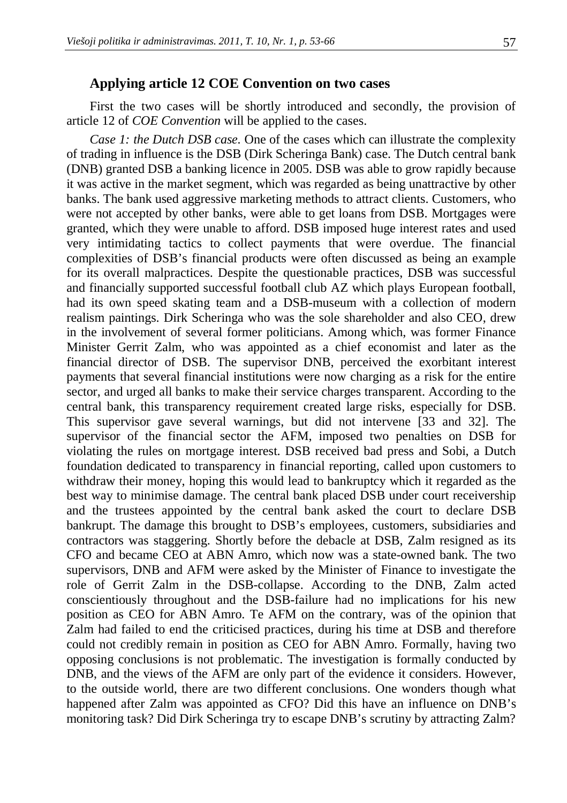## **Applying article 12 COE Convention on two cases**

First the two cases will be shortly introduced and secondly, the provision of article 12 of *COE Convention* will be applied to the cases.

*Case 1: the Dutch DSB case.* One of the cases which can illustrate the complexity of trading in influence is the DSB (Dirk Scheringa Bank) case. The Dutch central bank (DNB) granted DSB a banking licence in 2005. DSB was able to grow rapidly because it was active in the market segment, which was regarded as being unattractive by other banks. The bank used aggressive marketing methods to attract clients. Customers, who were not accepted by other banks, were able to get loans from DSB. Mortgages were granted, which they were unable to afford. DSB imposed huge interest rates and used very intimidating tactics to collect payments that were overdue. The financial complexities of DSB's financial products were often discussed as being an example for its overall malpractices. Despite the questionable practices, DSB was successful and financially supported successful football club AZ which plays European football, had its own speed skating team and a DSB-museum with a collection of modern realism paintings. Dirk Scheringa who was the sole shareholder and also CEO, drew in the involvement of several former politicians. Among which, was former Finance Minister Gerrit Zalm, who was appointed as a chief economist and later as the financial director of DSB. The supervisor DNB, perceived the exorbitant interest payments that several financial institutions were now charging as a risk for the entire sector, and urged all banks to make their service charges transparent. According to the central bank, this transparency requirement created large risks, especially for DSB. This supervisor gave several warnings, but did not intervene [33 and 32]. The supervisor of the financial sector the AFM, imposed two penalties on DSB for violating the rules on mortgage interest. DSB received bad press and Sobi, a Dutch foundation dedicated to transparency in financial reporting, called upon customers to withdraw their money, hoping this would lead to bankruptcy which it regarded as the best way to minimise damage. The central bank placed DSB under court receivership and the trustees appointed by the central bank asked the court to declare DSB bankrupt. The damage this brought to DSB's employees, customers, subsidiaries and contractors was staggering. Shortly before the debacle at DSB, Zalm resigned as its CFO and became CEO at ABN Amro, which now was a state-owned bank. The two supervisors, DNB and AFM were asked by the Minister of Finance to investigate the role of Gerrit Zalm in the DSB-collapse. According to the DNB, Zalm acted conscientiously throughout and the DSB-failure had no implications for his new position as CEO for ABN Amro. Te AFM on the contrary, was of the opinion that Zalm had failed to end the criticised practices, during his time at DSB and therefore could not credibly remain in position as CEO for ABN Amro. Formally, having two opposing conclusions is not problematic. The investigation is formally conducted by DNB, and the views of the AFM are only part of the evidence it considers. However, to the outside world, there are two different conclusions. One wonders though what happened after Zalm was appointed as CFO? Did this have an influence on DNB's monitoring task? Did Dirk Scheringa try to escape DNB's scrutiny by attracting Zalm?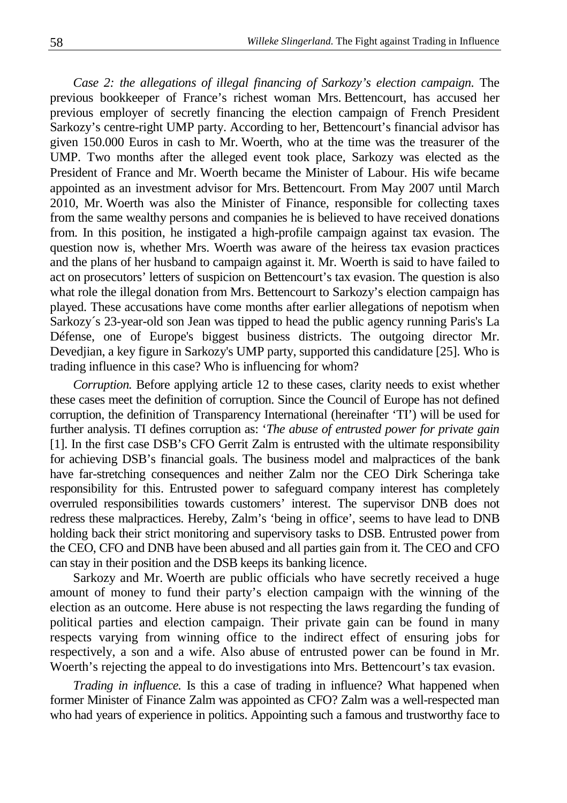*Case 2: the allegations of illegal financing of Sarkozy's election campaign.* The previous bookkeeper of France's richest woman Mrs. Bettencourt, has accused her previous employer of secretly financing the election campaign of French President Sarkozy's centre-right UMP party. According to her, Bettencourt's financial advisor has given 150.000 Euros in cash to Mr. Woerth, who at the time was the treasurer of the UMP. Two months after the alleged event took place, Sarkozy was elected as the President of France and Mr. Woerth became the Minister of Labour. His wife became appointed as an investment advisor for Mrs. Bettencourt. From May 2007 until March 2010, Mr. Woerth was also the Minister of Finance, responsible for collecting taxes from the same wealthy persons and companies he is believed to have received donations from. In this position, he instigated a high-profile campaign against tax evasion. The question now is, whether Mrs. Woerth was aware of the heiress tax evasion practices and the plans of her husband to campaign against it. Mr. Woerth is said to have failed to act on prosecutors' letters of suspicion on Bettencourt's tax evasion. The question is also what role the illegal donation from Mrs. Bettencourt to Sarkozy's election campaign has played. These accusations have come months after earlier allegations of nepotism when Sarkozy´s 23-year-old son Jean was tipped to head the public agency running Paris's La Défense, one of Europe's biggest business districts. The outgoing director Mr. Devedjian, a key figure in Sarkozy's UMP party, supported this candidature [25]. Who is trading influence in this case? Who is influencing for whom?

*Corruption.* Before applying article 12 to these cases, clarity needs to exist whether these cases meet the definition of corruption. Since the Council of Europe has not defined corruption, the definition of Transparency International (hereinafter 'TI') will be used for further analysis. TI defines corruption as: '*The abuse of entrusted power for private gain* [1]. In the first case DSB's CFO Gerrit Zalm is entrusted with the ultimate responsibility for achieving DSB's financial goals. The business model and malpractices of the bank have far-stretching consequences and neither Zalm nor the CEO Dirk Scheringa take responsibility for this. Entrusted power to safeguard company interest has completely overruled responsibilities towards customers' interest. The supervisor DNB does not redress these malpractices. Hereby, Zalm's 'being in office', seems to have lead to DNB holding back their strict monitoring and supervisory tasks to DSB. Entrusted power from the CEO, CFO and DNB have been abused and all parties gain from it. The CEO and CFO can stay in their position and the DSB keeps its banking licence.

Sarkozy and Mr. Woerth are public officials who have secretly received a huge amount of money to fund their party's election campaign with the winning of the election as an outcome. Here abuse is not respecting the laws regarding the funding of political parties and election campaign. Their private gain can be found in many respects varying from winning office to the indirect effect of ensuring jobs for respectively, a son and a wife. Also abuse of entrusted power can be found in Mr. Woerth's rejecting the appeal to do investigations into Mrs. Bettencourt's tax evasion.

*Trading in influence.* Is this a case of trading in influence? What happened when former Minister of Finance Zalm was appointed as CFO? Zalm was a well-respected man who had years of experience in politics. Appointing such a famous and trustworthy face to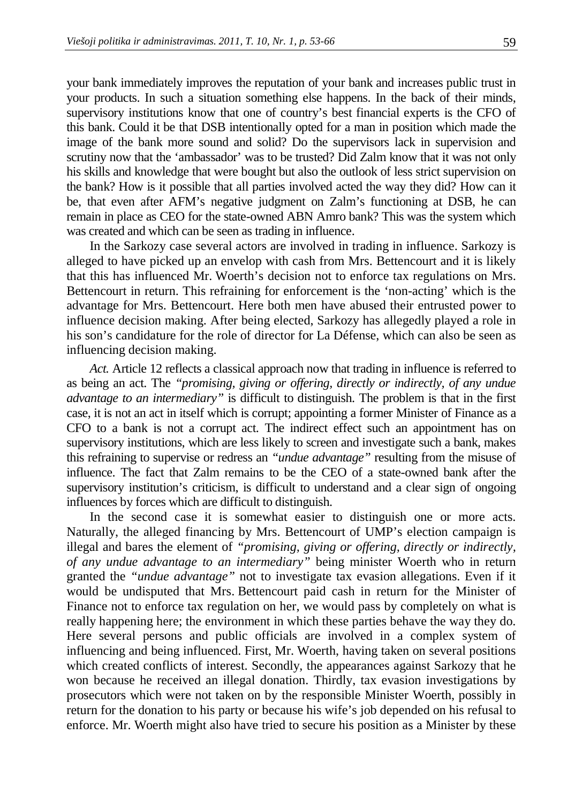your bank immediately improves the reputation of your bank and increases public trust in your products. In such a situation something else happens. In the back of their minds, supervisory institutions know that one of country's best financial experts is the CFO of this bank. Could it be that DSB intentionally opted for a man in position which made the image of the bank more sound and solid? Do the supervisors lack in supervision and scrutiny now that the 'ambassador' was to be trusted? Did Zalm know that it was not only his skills and knowledge that were bought but also the outlook of less strict supervision on the bank? How is it possible that all parties involved acted the way they did? How can it be, that even after AFM's negative judgment on Zalm's functioning at DSB, he can remain in place as CEO for the state-owned ABN Amro bank? This was the system which was created and which can be seen as trading in influence.

In the Sarkozy case several actors are involved in trading in influence. Sarkozy is alleged to have picked up an envelop with cash from Mrs. Bettencourt and it is likely that this has influenced Mr. Woerth's decision not to enforce tax regulations on Mrs. Bettencourt in return. This refraining for enforcement is the 'non-acting' which is the advantage for Mrs. Bettencourt. Here both men have abused their entrusted power to influence decision making. After being elected, Sarkozy has allegedly played a role in his son's candidature for the role of director for La Défense, which can also be seen as influencing decision making.

*Act.* Article 12 reflects a classical approach now that trading in influence is referred to as being an act. The *"promising, giving or offering, directly or indirectly, of any undue advantage to an intermediary"* is difficult to distinguish. The problem is that in the first case, it is not an act in itself which is corrupt; appointing a former Minister of Finance as a CFO to a bank is not a corrupt act. The indirect effect such an appointment has on supervisory institutions, which are less likely to screen and investigate such a bank, makes this refraining to supervise or redress an *"undue advantage"* resulting from the misuse of influence. The fact that Zalm remains to be the CEO of a state-owned bank after the supervisory institution's criticism, is difficult to understand and a clear sign of ongoing influences by forces which are difficult to distinguish.

In the second case it is somewhat easier to distinguish one or more acts. Naturally, the alleged financing by Mrs. Bettencourt of UMP's election campaign is illegal and bares the element of *"promising, giving or offering, directly or indirectly, of any undue advantage to an intermediary"* being minister Woerth who in return granted the *"undue advantage"* not to investigate tax evasion allegations. Even if it would be undisputed that Mrs. Bettencourt paid cash in return for the Minister of Finance not to enforce tax regulation on her, we would pass by completely on what is really happening here; the environment in which these parties behave the way they do. Here several persons and public officials are involved in a complex system of influencing and being influenced. First, Mr. Woerth, having taken on several positions which created conflicts of interest. Secondly, the appearances against Sarkozy that he won because he received an illegal donation. Thirdly, tax evasion investigations by prosecutors which were not taken on by the responsible Minister Woerth, possibly in return for the donation to his party or because his wife's job depended on his refusal to enforce. Mr. Woerth might also have tried to secure his position as a Minister by these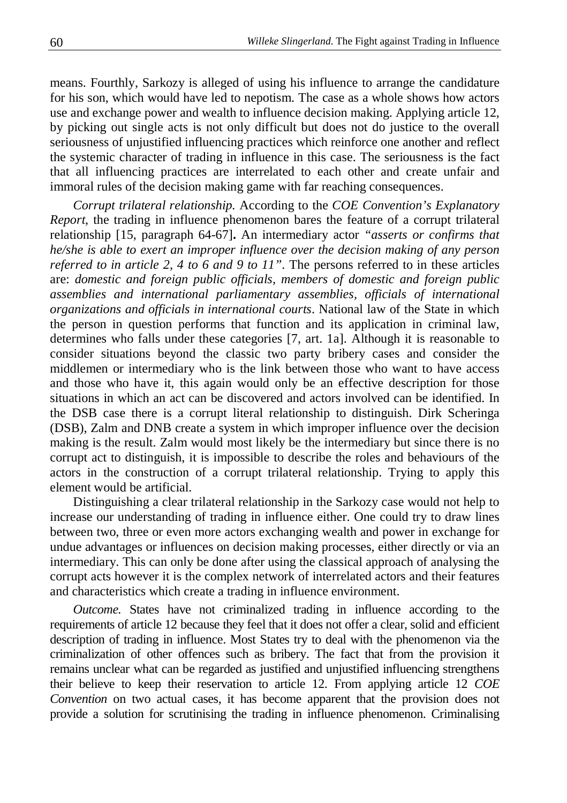means. Fourthly, Sarkozy is alleged of using his influence to arrange the candidature for his son, which would have led to nepotism. The case as a whole shows how actors use and exchange power and wealth to influence decision making. Applying article 12, by picking out single acts is not only difficult but does not do justice to the overall seriousness of unjustified influencing practices which reinforce one another and reflect the systemic character of trading in influence in this case. The seriousness is the fact that all influencing practices are interrelated to each other and create unfair and immoral rules of the decision making game with far reaching consequences.

*Corrupt trilateral relationship.* According to the *COE Convention's Explanatory Report*, the trading in influence phenomenon bares the feature of a corrupt trilateral relationship [15, paragraph 64-67]**.** An intermediary actor *"asserts or confirms that he/she is able to exert an improper influence over the decision making of any person referred to in article 2, 4 to 6 and 9 to 11"*. The persons referred to in these articles are: *domestic and foreign public officials, members of domestic and foreign public assemblies and international parliamentary assemblies, officials of international organizations and officials in international courts*. National law of the State in which the person in question performs that function and its application in criminal law, determines who falls under these categories [7, art. 1a]. Although it is reasonable to consider situations beyond the classic two party bribery cases and consider the middlemen or intermediary who is the link between those who want to have access and those who have it, this again would only be an effective description for those situations in which an act can be discovered and actors involved can be identified. In the DSB case there is a corrupt literal relationship to distinguish. Dirk Scheringa (DSB), Zalm and DNB create a system in which improper influence over the decision making is the result. Zalm would most likely be the intermediary but since there is no corrupt act to distinguish, it is impossible to describe the roles and behaviours of the actors in the construction of a corrupt trilateral relationship. Trying to apply this element would be artificial.

Distinguishing a clear trilateral relationship in the Sarkozy case would not help to increase our understanding of trading in influence either. One could try to draw lines between two, three or even more actors exchanging wealth and power in exchange for undue advantages or influences on decision making processes, either directly or via an intermediary. This can only be done after using the classical approach of analysing the corrupt acts however it is the complex network of interrelated actors and their features and characteristics which create a trading in influence environment.

*Outcome.* States have not criminalized trading in influence according to the requirements of article 12 because they feel that it does not offer a clear, solid and efficient description of trading in influence. Most States try to deal with the phenomenon via the criminalization of other offences such as bribery. The fact that from the provision it remains unclear what can be regarded as justified and unjustified influencing strengthens their believe to keep their reservation to article 12. From applying article 12 *COE Convention* on two actual cases, it has become apparent that the provision does not provide a solution for scrutinising the trading in influence phenomenon. Criminalising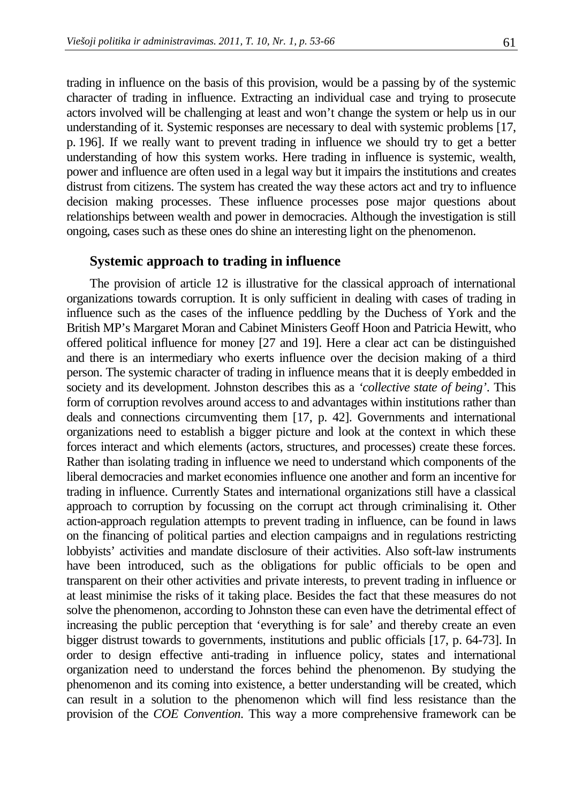trading in influence on the basis of this provision, would be a passing by of the systemic character of trading in influence. Extracting an individual case and trying to prosecute actors involved will be challenging at least and won't change the system or help us in our understanding of it. Systemic responses are necessary to deal with systemic problems [17, p. 196]. If we really want to prevent trading in influence we should try to get a better understanding of how this system works. Here trading in influence is systemic, wealth, power and influence are often used in a legal way but it impairs the institutions and creates distrust from citizens. The system has created the way these actors act and try to influence decision making processes. These influence processes pose major questions about relationships between wealth and power in democracies. Although the investigation is still ongoing, cases such as these ones do shine an interesting light on the phenomenon.

#### **Systemic approach to trading in influence**

The provision of article 12 is illustrative for the classical approach of international organizations towards corruption. It is only sufficient in dealing with cases of trading in influence such as the cases of the influence peddling by the Duchess of York and the British MP's Margaret Moran and Cabinet Ministers Geoff Hoon and Patricia Hewitt, who offered political influence for money [27 and 19]. Here a clear act can be distinguished and there is an intermediary who exerts influence over the decision making of a third person. The systemic character of trading in influence means that it is deeply embedded in society and its development. Johnston describes this as a *'collective state of being'*. This form of corruption revolves around access to and advantages within institutions rather than deals and connections circumventing them [17, p. 42]. Governments and international organizations need to establish a bigger picture and look at the context in which these forces interact and which elements (actors, structures, and processes) create these forces. Rather than isolating trading in influence we need to understand which components of the liberal democracies and market economies influence one another and form an incentive for trading in influence. Currently States and international organizations still have a classical approach to corruption by focussing on the corrupt act through criminalising it. Other action-approach regulation attempts to prevent trading in influence, can be found in laws on the financing of political parties and election campaigns and in regulations restricting lobbyists' activities and mandate disclosure of their activities. Also soft-law instruments have been introduced, such as the obligations for public officials to be open and transparent on their other activities and private interests, to prevent trading in influence or at least minimise the risks of it taking place. Besides the fact that these measures do not solve the phenomenon, according to Johnston these can even have the detrimental effect of increasing the public perception that 'everything is for sale' and thereby create an even bigger distrust towards to governments, institutions and public officials [17, p. 64-73]. In order to design effective anti-trading in influence policy, states and international organization need to understand the forces behind the phenomenon. By studying the phenomenon and its coming into existence, a better understanding will be created, which can result in a solution to the phenomenon which will find less resistance than the provision of the *COE Convention*. This way a more comprehensive framework can be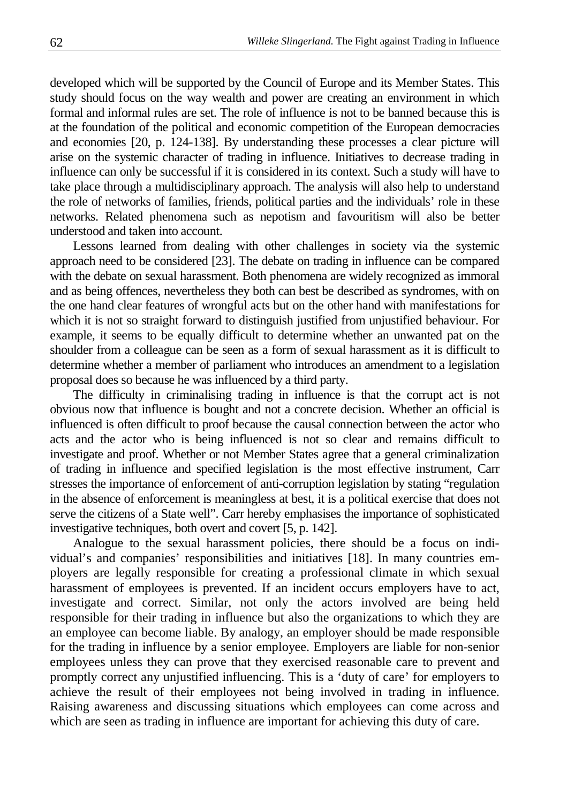developed which will be supported by the Council of Europe and its Member States. This study should focus on the way wealth and power are creating an environment in which formal and informal rules are set. The role of influence is not to be banned because this is at the foundation of the political and economic competition of the European democracies and economies [20, p. 124-138]. By understanding these processes a clear picture will arise on the systemic character of trading in influence. Initiatives to decrease trading in influence can only be successful if it is considered in its context. Such a study will have to take place through a multidisciplinary approach. The analysis will also help to understand the role of networks of families, friends, political parties and the individuals' role in these networks. Related phenomena such as nepotism and favouritism will also be better understood and taken into account.

Lessons learned from dealing with other challenges in society via the systemic approach need to be considered [23]. The debate on trading in influence can be compared with the debate on sexual harassment. Both phenomena are widely recognized as immoral and as being offences, nevertheless they both can best be described as syndromes, with on the one hand clear features of wrongful acts but on the other hand with manifestations for which it is not so straight forward to distinguish justified from unjustified behaviour. For example, it seems to be equally difficult to determine whether an unwanted pat on the shoulder from a colleague can be seen as a form of sexual harassment as it is difficult to determine whether a member of parliament who introduces an amendment to a legislation proposal does so because he was influenced by a third party.

The difficulty in criminalising trading in influence is that the corrupt act is not obvious now that influence is bought and not a concrete decision. Whether an official is influenced is often difficult to proof because the causal connection between the actor who acts and the actor who is being influenced is not so clear and remains difficult to investigate and proof. Whether or not Member States agree that a general criminalization of trading in influence and specified legislation is the most effective instrument, Carr stresses the importance of enforcement of anti-corruption legislation by stating "regulation in the absence of enforcement is meaningless at best, it is a political exercise that does not serve the citizens of a State well". Carr hereby emphasises the importance of sophisticated investigative techniques, both overt and covert [5, p. 142].

Analogue to the sexual harassment policies, there should be a focus on individual's and companies' responsibilities and initiatives [18]. In many countries employers are legally responsible for creating a professional climate in which sexual harassment of employees is prevented. If an incident occurs employers have to act, investigate and correct. Similar, not only the actors involved are being held responsible for their trading in influence but also the organizations to which they are an employee can become liable. By analogy, an employer should be made responsible for the trading in influence by a senior employee. Employers are liable for non-senior employees unless they can prove that they exercised reasonable care to prevent and promptly correct any unjustified influencing. This is a 'duty of care' for employers to achieve the result of their employees not being involved in trading in influence. Raising awareness and discussing situations which employees can come across and which are seen as trading in influence are important for achieving this duty of care.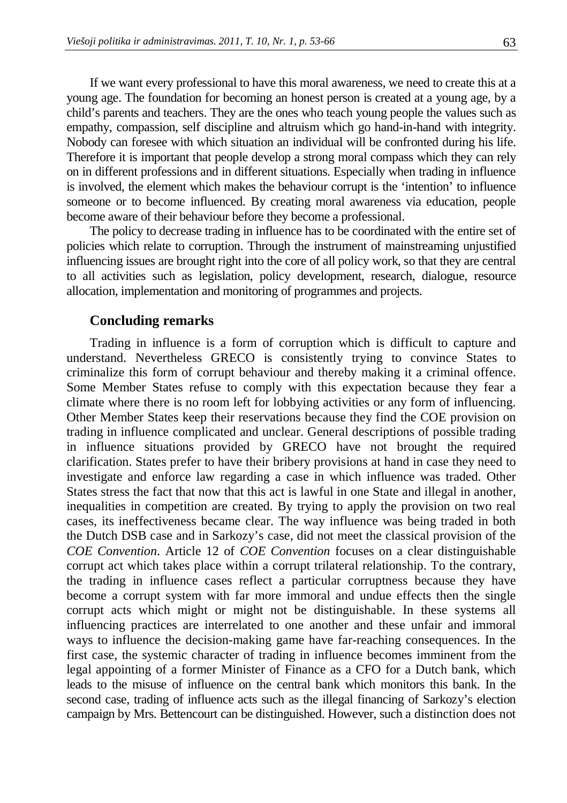If we want every professional to have this moral awareness, we need to create this at a young age. The foundation for becoming an honest person is created at a young age, by a child's parents and teachers. They are the ones who teach young people the values such as empathy, compassion, self discipline and altruism which go hand-in-hand with integrity. Nobody can foresee with which situation an individual will be confronted during his life. Therefore it is important that people develop a strong moral compass which they can rely on in different professions and in different situations. Especially when trading in influence is involved, the element which makes the behaviour corrupt is the 'intention' to influence someone or to become influenced. By creating moral awareness via education, people become aware of their behaviour before they become a professional.

The policy to decrease trading in influence has to be coordinated with the entire set of policies which relate to corruption. Through the instrument of mainstreaming unjustified influencing issues are brought right into the core of all policy work, so that they are central to all activities such as legislation, policy development, research, dialogue, resource allocation, implementation and monitoring of programmes and projects.

#### **Concluding remarks**

Trading in influence is a form of corruption which is difficult to capture and understand. Nevertheless GRECO is consistently trying to convince States to criminalize this form of corrupt behaviour and thereby making it a criminal offence. Some Member States refuse to comply with this expectation because they fear a climate where there is no room left for lobbying activities or any form of influencing. Other Member States keep their reservations because they find the COE provision on trading in influence complicated and unclear. General descriptions of possible trading in influence situations provided by GRECO have not brought the required clarification. States prefer to have their bribery provisions at hand in case they need to investigate and enforce law regarding a case in which influence was traded. Other States stress the fact that now that this act is lawful in one State and illegal in another, inequalities in competition are created. By trying to apply the provision on two real cases, its ineffectiveness became clear. The way influence was being traded in both the Dutch DSB case and in Sarkozy's case, did not meet the classical provision of the *COE Convention*. Article 12 of *COE Convention* focuses on a clear distinguishable corrupt act which takes place within a corrupt trilateral relationship. To the contrary, the trading in influence cases reflect a particular corruptness because they have become a corrupt system with far more immoral and undue effects then the single corrupt acts which might or might not be distinguishable. In these systems all influencing practices are interrelated to one another and these unfair and immoral ways to influence the decision-making game have far-reaching consequences. In the first case, the systemic character of trading in influence becomes imminent from the legal appointing of a former Minister of Finance as a CFO for a Dutch bank, which leads to the misuse of influence on the central bank which monitors this bank. In the second case, trading of influence acts such as the illegal financing of Sarkozy's election campaign by Mrs. Bettencourt can be distinguished. However, such a distinction does not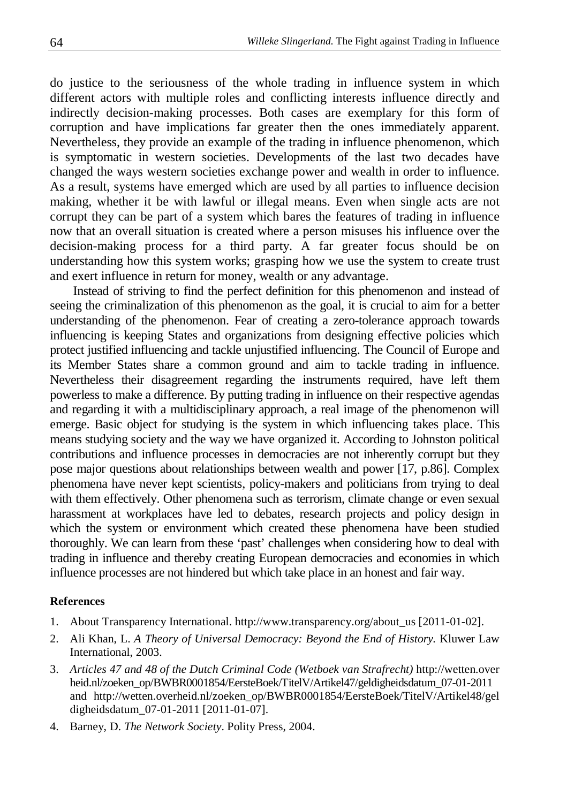do justice to the seriousness of the whole trading in influence system in which different actors with multiple roles and conflicting interests influence directly and indirectly decision-making processes. Both cases are exemplary for this form of corruption and have implications far greater then the ones immediately apparent. Nevertheless, they provide an example of the trading in influence phenomenon, which is symptomatic in western societies. Developments of the last two decades have changed the ways western societies exchange power and wealth in order to influence. As a result, systems have emerged which are used by all parties to influence decision making, whether it be with lawful or illegal means. Even when single acts are not corrupt they can be part of a system which bares the features of trading in influence now that an overall situation is created where a person misuses his influence over the decision-making process for a third party. A far greater focus should be on understanding how this system works; grasping how we use the system to create trust and exert influence in return for money, wealth or any advantage.

Instead of striving to find the perfect definition for this phenomenon and instead of seeing the criminalization of this phenomenon as the goal, it is crucial to aim for a better understanding of the phenomenon. Fear of creating a zero-tolerance approach towards influencing is keeping States and organizations from designing effective policies which protect justified influencing and tackle unjustified influencing. The Council of Europe and its Member States share a common ground and aim to tackle trading in influence. Nevertheless their disagreement regarding the instruments required, have left them powerless to make a difference. By putting trading in influence on their respective agendas and regarding it with a multidisciplinary approach, a real image of the phenomenon will emerge. Basic object for studying is the system in which influencing takes place. This means studying society and the way we have organized it. According to Johnston political contributions and influence processes in democracies are not inherently corrupt but they pose major questions about relationships between wealth and power [17, p.86]. Complex phenomena have never kept scientists, policy-makers and politicians from trying to deal with them effectively. Other phenomena such as terrorism, climate change or even sexual harassment at workplaces have led to debates, research projects and policy design in which the system or environment which created these phenomena have been studied thoroughly. We can learn from these 'past' challenges when considering how to deal with trading in influence and thereby creating European democracies and economies in which influence processes are not hindered but which take place in an honest and fair way.

## **References**

- 1. About Transparency International. http://www.transparency.org/about\_us [2011-01-02].
- 2. Ali Khan, L. *A Theory of Universal Democracy: Beyond the End of History.* Kluwer Law International, 2003.
- 3. *Articles 47 and 48 of the Dutch Criminal Code (Wetboek van Strafrecht)* http://wetten.over heid.nl/zoeken\_op/BWBR0001854/EersteBoek/TitelV/Artikel47/geldigheidsdatum\_07-01-2011 and http://wetten.overheid.nl/zoeken\_op/BWBR0001854/EersteBoek/TitelV/Artikel48/gel digheidsdatum\_07-01-2011 [2011-01-07].
- 4. Barney, D. *The Network Society*. Polity Press, 2004.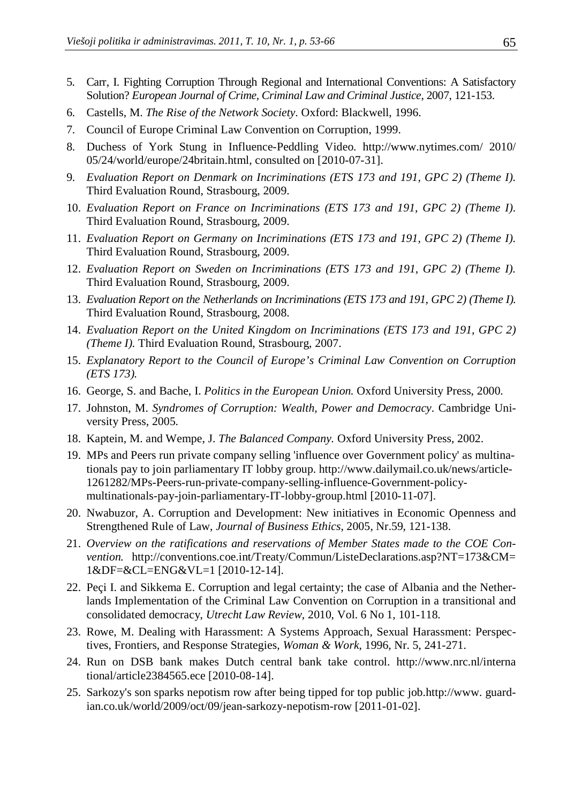- 5. Carr, I. Fighting Corruption Through Regional and International Conventions: A Satisfactory Solution? *European Journal of Crime, Criminal Law and Criminal Justice*, 2007, 121-153.
- 6. Castells, M. *The Rise of the Network Society.* Oxford: Blackwell, 1996.
- 7. Council of Europe Criminal Law Convention on Corruption, 1999.
- 8. Duchess of York Stung in Influence-Peddling Video. http://www.nytimes.com/ 2010/ 05/24/world/europe/24britain.html, consulted on [2010-07-31].
- 9. *Evaluation Report on Denmark on Incriminations (ETS 173 and 191, GPC 2) (Theme I).*  Third Evaluation Round, Strasbourg, 2009.
- 10. *Evaluation Report on France on Incriminations (ETS 173 and 191, GPC 2) (Theme I).* Third Evaluation Round, Strasbourg, 2009.
- 11. *Evaluation Report on Germany on Incriminations (ETS 173 and 191, GPC 2) (Theme I).* Third Evaluation Round, Strasbourg, 2009.
- 12. *Evaluation Report on Sweden on Incriminations (ETS 173 and 191, GPC 2) (Theme I).* Third Evaluation Round, Strasbourg, 2009.
- 13. *Evaluation Report on the Netherlands on Incriminations (ETS 173 and 191, GPC 2) (Theme I).* Third Evaluation Round, Strasbourg, 2008.
- 14. *Evaluation Report on the United Kingdom on Incriminations (ETS 173 and 191, GPC 2) (Theme I).* Third Evaluation Round, Strasbourg, 2007.
- 15. *Explanatory Report to the Council of Europe's Criminal Law Convention on Corruption (ETS 173).*
- 16. George, S. and Bache, I. *Politics in the European Union.* Oxford University Press, 2000.
- 17. Johnston, M. *Syndromes of Corruption: Wealth, Power and Democracy*. Cambridge University Press, 2005.
- 18. Kaptein, M. and Wempe, J. *The Balanced Company.* Oxford University Press, 2002.
- 19. MPs and Peers run private company selling 'influence over Government policy' as multinationals pay to join parliamentary IT lobby group. http://www.dailymail.co.uk/news/article-1261282/MPs-Peers-run-private-company-selling-influence-Government-policymultinationals-pay-join-parliamentary-IT-lobby-group.html [2010-11-07].
- 20. Nwabuzor, A. Corruption and Development: New initiatives in Economic Openness and Strengthened Rule of Law, *Journal of Business Ethics*, 2005, Nr.59, 121-138.
- 21. *Overview on the ratifications and reservations of Member States made to the COE Convention.* http://conventions.coe.int/Treaty/Commun/ListeDeclarations.asp?NT=173&CM= 1&DF=&CL=ENG&VL=1 [2010-12-14].
- 22. Peçi I. and Sikkema E. Corruption and legal certainty; the case of Albania and the Netherlands Implementation of the Criminal Law Convention on Corruption in a transitional and consolidated democracy, *Utrecht Law Review*, 2010, Vol. 6 No 1, 101-118.
- 23. Rowe, M. Dealing with Harassment: A Systems Approach, Sexual Harassment: Perspectives, Frontiers, and Response Strategies, *Woman & Work*, 1996, Nr. 5, 241-271.
- 24. Run on DSB bank makes Dutch central bank take control. http://www.nrc.nl/interna tional/article2384565.ece [2010-08-14].
- 25. Sarkozy's son sparks nepotism row after being tipped for top public job.http://www. guardian.co.uk/world/2009/oct/09/jean-sarkozy-nepotism-row [2011-01-02].